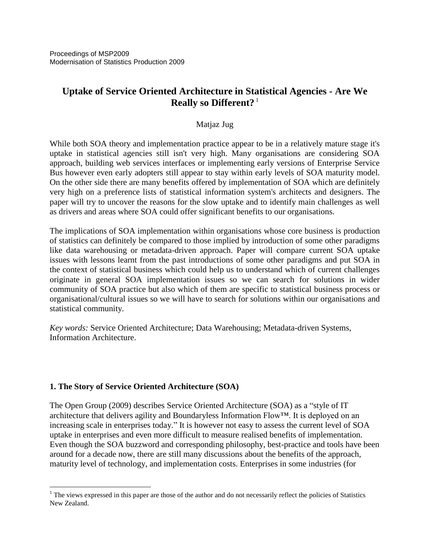# **Uptake of Service Oriented Architecture in Statistical Agencies - Are We Really so Different?** <sup>1</sup>

### Matjaz Jug

While both SOA theory and implementation practice appear to be in a relatively mature stage it's uptake in statistical agencies still isn't very high. Many organisations are considering SOA approach, building web services interfaces or implementing early versions of Enterprise Service Bus however even early adopters still appear to stay within early levels of SOA maturity model. On the other side there are many benefits offered by implementation of SOA which are definitely very high on a preference lists of statistical information system's architects and designers. The paper will try to uncover the reasons for the slow uptake and to identify main challenges as well as drivers and areas where SOA could offer significant benefits to our organisations.

The implications of SOA implementation within organisations whose core business is production of statistics can definitely be compared to those implied by introduction of some other paradigms like data warehousing or metadata-driven approach. Paper will compare current SOA uptake issues with lessons learnt from the past introductions of some other paradigms and put SOA in the context of statistical business which could help us to understand which of current challenges originate in general SOA implementation issues so we can search for solutions in wider community of SOA practice but also which of them are specific to statistical business process or organisational/cultural issues so we will have to search for solutions within our organisations and statistical community.

*Key words:* Service Oriented Architecture; Data Warehousing; Metadata-driven Systems, Information Architecture.

### **1. The Story of Service Oriented Architecture (SOA)**

 $\overline{a}$ 

The Open Group (2009) describes Service Oriented Architecture (SOA) as a "style of IT architecture that delivers agility and Boundaryless Information Flow™. It is deployed on an increasing scale in enterprises today." It is however not easy to assess the current level of SOA uptake in enterprises and even more difficult to measure realised benefits of implementation. Even though the SOA buzzword and corresponding philosophy, best-practice and tools have been around for a decade now, there are still many discussions about the benefits of the approach, maturity level of technology, and implementation costs. Enterprises in some industries (for

<sup>&</sup>lt;sup>1</sup> The views expressed in this paper are those of the author and do not necessarily reflect the policies of Statistics New Zealand.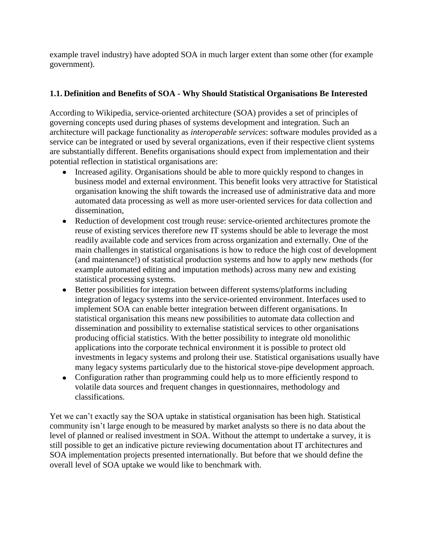example travel industry) have adopted SOA in much larger extent than some other (for example government).

## **1.1. Definition and Benefits of SOA - Why Should Statistical Organisations Be Interested**

According to Wikipedia, service-oriented architecture (SOA) provides a set of principles of governing concepts used during phases of systems development and integration. Such an architecture will package functionality as *interoperable services*: software modules provided as a service can be integrated or used by several organizations, even if their respective client systems are substantially different. Benefits organisations should expect from implementation and their potential reflection in statistical organisations are:

- Increased agility. Organisations should be able to more quickly respond to changes in business model and external environment. This benefit looks very attractive for Statistical organisation knowing the shift towards the increased use of administrative data and more automated data processing as well as more user-oriented services for data collection and dissemination,
- $\bullet$ Reduction of development cost trough reuse: service-oriented architectures promote the reuse of existing services therefore new IT systems should be able to leverage the most readily available code and services from across organization and externally. One of the main challenges in statistical organisations is how to reduce the high cost of development (and maintenance!) of statistical production systems and how to apply new methods (for example automated editing and imputation methods) across many new and existing statistical processing systems.
- Better possibilities for integration between different systems/platforms including integration of legacy systems into the service-oriented environment. Interfaces used to implement SOA can enable better integration between different organisations. In statistical organisation this means new possibilities to automate data collection and dissemination and possibility to externalise statistical services to other organisations producing official statistics. With the better possibility to integrate old monolithic applications into the corporate technical environment it is possible to protect old investments in legacy systems and prolong their use. Statistical organisations usually have many legacy systems particularly due to the historical stove-pipe development approach.
- Configuration rather than programming could help us to more efficiently respond to volatile data sources and frequent changes in questionnaires, methodology and classifications.

Yet we can't exactly say the SOA uptake in statistical organisation has been high. Statistical community isn"t large enough to be measured by market analysts so there is no data about the level of planned or realised investment in SOA. Without the attempt to undertake a survey, it is still possible to get an indicative picture reviewing documentation about IT architectures and SOA implementation projects presented internationally. But before that we should define the overall level of SOA uptake we would like to benchmark with.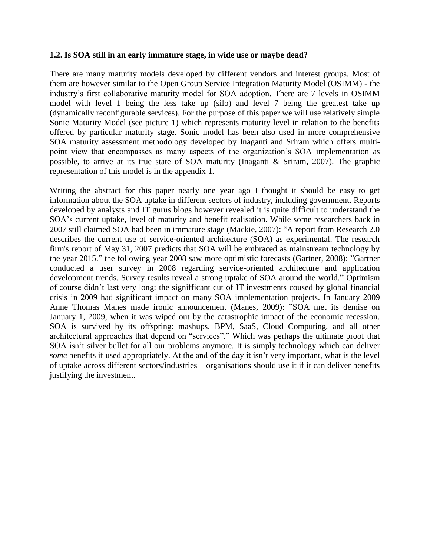#### **1.2. Is SOA still in an early immature stage, in wide use or maybe dead?**

There are many maturity models developed by different vendors and interest groups. Most of them are however similar to the Open Group Service Integration Maturity Model (OSIMM) - the industry"s first collaborative maturity model for SOA adoption. There are 7 levels in OSIMM model with level 1 being the less take up (silo) and level 7 being the greatest take up (dynamically reconfigurable services). For the purpose of this paper we will use relatively simple Sonic Maturity Model (see picture 1) which represents maturity level in relation to the benefits offered by particular maturity stage. Sonic model has been also used in more comprehensive SOA maturity assessment methodology developed by Inaganti and Sriram which offers multipoint view that encompasses as many aspects of the organization"s SOA implementation as possible, to arrive at its true state of SOA maturity (Inaganti & Sriram, 2007). The graphic representation of this model is in the appendix 1.

Writing the abstract for this paper nearly one year ago I thought it should be easy to get information about the SOA uptake in different sectors of industry, including government. Reports developed by analysts and IT gurus blogs however revealed it is quite difficult to understand the SOA"s current uptake, level of maturity and benefit realisation. While some researchers back in 2007 still claimed SOA had been in immature stage (Mackie, 2007): "A report from Research 2.0 describes the current use of service-oriented architecture (SOA) as experimental. The research firm's report of May 31, 2007 predicts that SOA will be embraced as mainstream technology by the year 2015." the following year 2008 saw more optimistic forecasts (Gartner, 2008): "Gartner conducted a user survey in 2008 regarding service-oriented architecture and application development trends. Survey results reveal a strong uptake of SOA around the world." Optimism of course didn"t last very long: the signifficant cut of IT investments coused by global financial crisis in 2009 had significant impact on many SOA implementation projects. In January 2009 Anne Thomas Manes made ironic announcement (Manes, 2009): "SOA met its demise on January 1, 2009, when it was wiped out by the catastrophic impact of the economic recession. SOA is survived by its offspring: mashups, BPM, SaaS, Cloud Computing, and all other architectural approaches that depend on "services"." Which was perhaps the ultimate proof that SOA isn't silver bullet for all our problems anymore. It is simply technology which can deliver *some* benefits if used appropriately. At the and of the day it isn't very important, what is the level of uptake across different sectors/industries – organisations should use it if it can deliver benefits justifying the investment.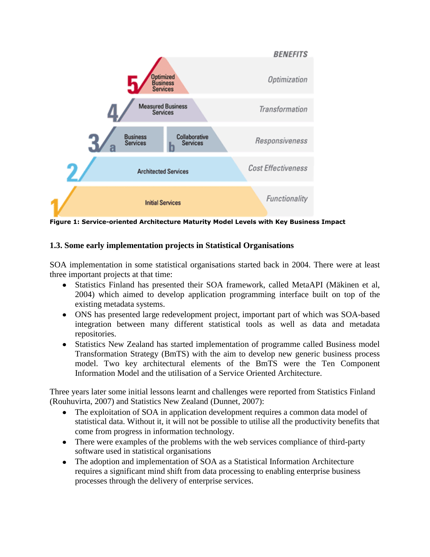

**Figure 1: Service-oriented Architecture Maturity Model Levels with Key Business Impact**

## **1.3. Some early implementation projects in Statistical Organisations**

SOA implementation in some statistical organisations started back in 2004. There were at least three important projects at that time:

- Statistics Finland has presented their SOA framework, called MetaAPI (Mäkinen et al, 2004) which aimed to develop application programming interface built on top of the existing metadata systems.
- ONS has presented large redevelopment project, important part of which was SOA-based integration between many different statistical tools as well as data and metadata repositories.
- Statistics New Zealand has started implementation of programme called Business model Transformation Strategy (BmTS) with the aim to develop new generic business process model. Two key architectural elements of the BmTS were the Ten Component Information Model and the utilisation of a Service Oriented Architecture.

Three years later some initial lessons learnt and challenges were reported from Statistics Finland (Rouhuvirta, 2007) and Statistics New Zealand (Dunnet, 2007):

- The exploitation of SOA in application development requires a common data model of statistical data. Without it, it will not be possible to utilise all the productivity benefits that come from progress in information technology.
- There were examples of the problems with the web services compliance of third-party software used in statistical organisations
- The adoption and implementation of SOA as a Statistical Information Architecture requires a significant mind shift from data processing to enabling enterprise business processes through the delivery of enterprise services.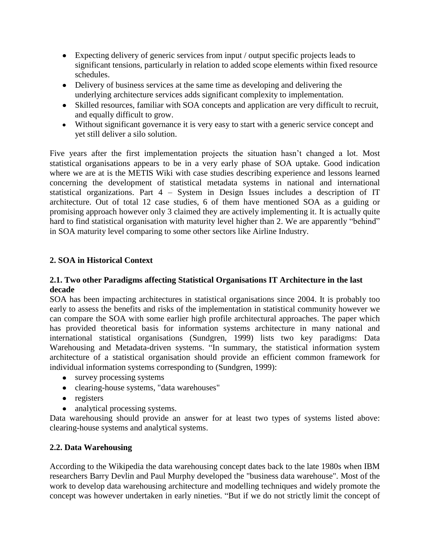- Expecting delivery of generic services from input / output specific projects leads to significant tensions, particularly in relation to added scope elements within fixed resource schedules.
- Delivery of business services at the same time as developing and delivering the underlying architecture services adds significant complexity to implementation.
- Skilled resources, familiar with SOA concepts and application are very difficult to recruit, and equally difficult to grow.
- Without significant governance it is very easy to start with a generic service concept and yet still deliver a silo solution.

Five years after the first implementation projects the situation hasn"t changed a lot. Most statistical organisations appears to be in a very early phase of SOA uptake. Good indication where we are at is the METIS Wiki with case studies describing experience and lessons learned concerning the development of statistical metadata systems in national and international statistical organizations. Part 4 – System in Design Issues includes a description of IT architecture. Out of total 12 case studies, 6 of them have mentioned SOA as a guiding or promising approach however only 3 claimed they are actively implementing it. It is actually quite hard to find statistical organisation with maturity level higher than 2. We are apparently "behind" in SOA maturity level comparing to some other sectors like Airline Industry.

## **2. SOA in Historical Context**

### **2.1. Two other Paradigms affecting Statistical Organisations IT Architecture in the last decade**

SOA has been impacting architectures in statistical organisations since 2004. It is probably too early to assess the benefits and risks of the implementation in statistical community however we can compare the SOA with some earlier high profile architectural approaches. The paper which has provided theoretical basis for information systems architecture in many national and international statistical organisations (Sundgren, 1999) lists two key paradigms: Data Warehousing and Metadata-driven systems. "In summary, the statistical information system architecture of a statistical organisation should provide an efficient common framework for individual information systems corresponding to (Sundgren, 1999):

- survey processing systems
- clearing-house systems, "data warehouses"
- registers
- analytical processing systems.

Data warehousing should provide an answer for at least two types of systems listed above: clearing-house systems and analytical systems.

### **2.2. Data Warehousing**

According to the Wikipedia the data warehousing concept dates back to the late 1980s when IBM researchers Barry Devlin and Paul Murphy developed the "business data warehouse". Most of the work to develop data warehousing architecture and modelling techniques and widely promote the concept was however undertaken in early nineties. "But if we do not strictly limit the concept of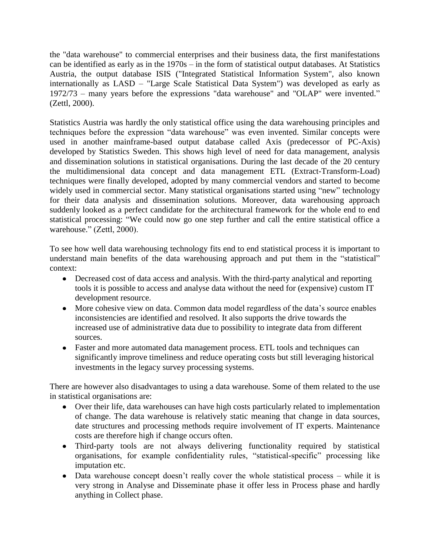the "data warehouse" to commercial enterprises and their business data, the first manifestations can be identified as early as in the 1970s – in the form of statistical output databases. At Statistics Austria, the output database ISIS ("Integrated Statistical Information System", also known internationally as LASD – "Large Scale Statistical Data System") was developed as early as 1972/73 – many years before the expressions "data warehouse" and "OLAP" were invented." (Zettl, 2000).

Statistics Austria was hardly the only statistical office using the data warehousing principles and techniques before the expression "data warehouse" was even invented. Similar concepts were used in another mainframe-based output database called Axis (predecessor of PC-Axis) developed by Statistics Sweden. This shows high level of need for data management, analysis and dissemination solutions in statistical organisations. During the last decade of the 20 century the multidimensional data concept and data management ETL (Extract-Transform-Load) techniques were finally developed, adopted by many commercial vendors and started to become widely used in commercial sector. Many statistical organisations started using "new" technology for their data analysis and dissemination solutions. Moreover, data warehousing approach suddenly looked as a perfect candidate for the architectural framework for the whole end to end statistical processing: "We could now go one step further and call the entire statistical office a warehouse." (Zettl, 2000).

To see how well data warehousing technology fits end to end statistical process it is important to understand main benefits of the data warehousing approach and put them in the "statistical" context:

- Decreased cost of data access and analysis. With the third-party analytical and reporting tools it is possible to access and analyse data without the need for (expensive) custom IT development resource.
- More cohesive view on data. Common data model regardless of the data"s source enables inconsistencies are identified and resolved. It also supports the drive towards the increased use of administrative data due to possibility to integrate data from different sources.
- Faster and more automated data management process. ETL tools and techniques can significantly improve timeliness and reduce operating costs but still leveraging historical investments in the legacy survey processing systems.

There are however also disadvantages to using a data warehouse. Some of them related to the use in statistical organisations are:

- Over their life, data warehouses can have high costs particularly related to implementation of change. The data warehouse is relatively static meaning that change in data sources, date structures and processing methods require involvement of IT experts. Maintenance costs are therefore high if change occurs often.
- Third-party tools are not always delivering functionality required by statistical  $\bullet$ organisations, for example confidentiality rules, "statistical-specific" processing like imputation etc.
- Data warehouse concept doesn't really cover the whole statistical process while it is very strong in Analyse and Disseminate phase it offer less in Process phase and hardly anything in Collect phase.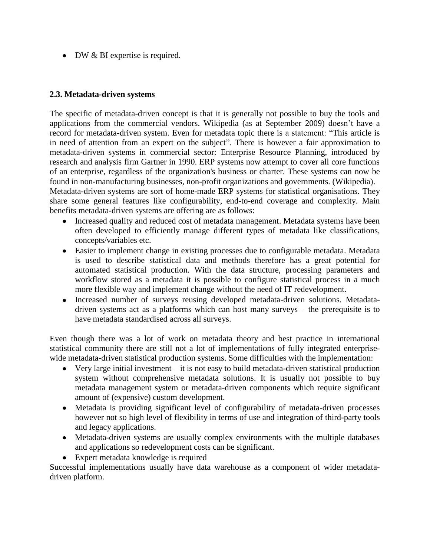• DW & BI expertise is required.

#### **2.3. Metadata-driven systems**

The specific of metadata-driven concept is that it is generally not possible to buy the tools and applications from the commercial vendors. Wikipedia (as at September 2009) doesn"t have a record for metadata-driven system. Even for metadata topic there is a statement: "This article is in need of attention from an expert on the subject". There is however a fair approximation to metadata-driven systems in commercial sector: Enterprise Resource Planning, introduced by research and analysis firm Gartner in 1990. ERP systems now attempt to cover all core functions of an enterprise, regardless of the organization's business or charter. These systems can now be found in non-manufacturing businesses, non-profit organizations and governments. (Wikipedia).

Metadata-driven systems are sort of home-made ERP systems for statistical organisations. They share some general features like configurability, end-to-end coverage and complexity. Main benefits metadata-driven systems are offering are as follows:

- Increased quality and reduced cost of metadata management. Metadata systems have been often developed to efficiently manage different types of metadata like classifications, concepts/variables etc.
- Easier to implement change in existing processes due to configurable metadata. Metadata is used to describe statistical data and methods therefore has a great potential for automated statistical production. With the data structure, processing parameters and workflow stored as a metadata it is possible to configure statistical process in a much more flexible way and implement change without the need of IT redevelopment.
- Increased number of surveys reusing developed metadata-driven solutions. Metadatadriven systems act as a platforms which can host many surveys – the prerequisite is to have metadata standardised across all surveys.

Even though there was a lot of work on metadata theory and best practice in international statistical community there are still not a lot of implementations of fully integrated enterprisewide metadata-driven statistical production systems. Some difficulties with the implementation:

- Very large initial investment it is not easy to build metadata-driven statistical production  $\bullet$ system without comprehensive metadata solutions. It is usually not possible to buy metadata management system or metadata-driven components which require significant amount of (expensive) custom development.
- Metadata is providing significant level of configurability of metadata-driven processes however not so high level of flexibility in terms of use and integration of third-party tools and legacy applications.
- Metadata-driven systems are usually complex environments with the multiple databases and applications so redevelopment costs can be significant.
- Expert metadata knowledge is required

Successful implementations usually have data warehouse as a component of wider metadatadriven platform.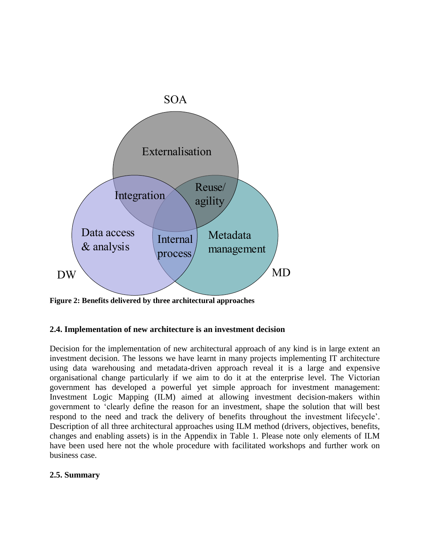

**Figure 2: Benefits delivered by three architectural approaches**

#### **2.4. Implementation of new architecture is an investment decision**

Decision for the implementation of new architectural approach of any kind is in large extent an investment decision. The lessons we have learnt in many projects implementing IT architecture using data warehousing and metadata-driven approach reveal it is a large and expensive organisational change particularly if we aim to do it at the enterprise level. The Victorian government has developed a powerful yet simple approach for investment management: Investment Logic Mapping (ILM) aimed at allowing investment decision-makers within government to "clearly define the reason for an investment, shape the solution that will best respond to the need and track the delivery of benefits throughout the investment lifecycle". Description of all three architectural approaches using ILM method (drivers, objectives, benefits, changes and enabling assets) is in the Appendix in Table 1. Please note only elements of ILM have been used here not the whole procedure with facilitated workshops and further work on business case.

#### **2.5. Summary**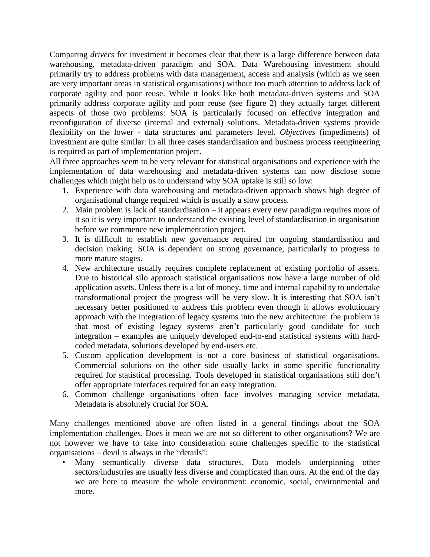Comparing *drivers* for investment it becomes clear that there is a large difference between data warehousing, metadata-driven paradigm and SOA. Data Warehousing investment should primarily try to address problems with data management, access and analysis (which as we seen are very important areas in statistical organisations) without too much attention to address lack of corporate agility and poor reuse. While it looks like both metadata-driven systems and SOA primarily address corporate agility and poor reuse (see figure 2) they actually target different aspects of those two problems: SOA is particularly focused on effective integration and reconfiguration of diverse (internal and external) solutions. Metadata-driven systems provide flexibility on the lower - data structures and parameters level. *Objectives* (impediments) of investment are quite similar: in all three cases standardisation and business process reengineering is required as part of implementation project.

All three approaches seem to be very relevant for statistical organisations and experience with the implementation of data warehousing and metadata-driven systems can now disclose some challenges which might help us to understand why SOA uptake is still so low:

- 1. Experience with data warehousing and metadata-driven approach shows high degree of organisational change required which is usually a slow process.
- 2. Main problem is lack of standardisation it appears every new paradigm requires more of it so it is very important to understand the existing level of standardisation in organisation before we commence new implementation project.
- 3. It is difficult to establish new governance required for ongoing standardisation and decision making. SOA is dependent on strong governance, particularly to progress to more mature stages.
- 4. New architecture usually requires complete replacement of existing portfolio of assets. Due to historical silo approach statistical organisations now have a large number of old application assets. Unless there is a lot of money, time and internal capability to undertake transformational project the progress will be very slow. It is interesting that SOA isn"t necessary better positioned to address this problem even though it allows evolutionary approach with the integration of legacy systems into the new architecture: the problem is that most of existing legacy systems aren"t particularly good candidate for such integration – examples are uniquely developed end-to-end statistical systems with hardcoded metadata, solutions developed by end-users etc.
- 5. Custom application development is not a core business of statistical organisations. Commercial solutions on the other side usually lacks in some specific functionality required for statistical processing. Tools developed in statistical organisations still don"t offer appropriate interfaces required for an easy integration.
- 6. Common challenge organisations often face involves managing service metadata. Metadata is absolutely crucial for SOA.

Many challenges mentioned above are often listed in a general findings about the SOA implementation challenges. Does it mean we are not so different to other organisations? We are not however we have to take into consideration some challenges specific to the statistical organisations – devil is always in the "details":

• Many semantically diverse data structures. Data models underpinning other sectors/industries are usually less diverse and complicated than ours. At the end of the day we are here to measure the whole environment: economic, social, environmental and more.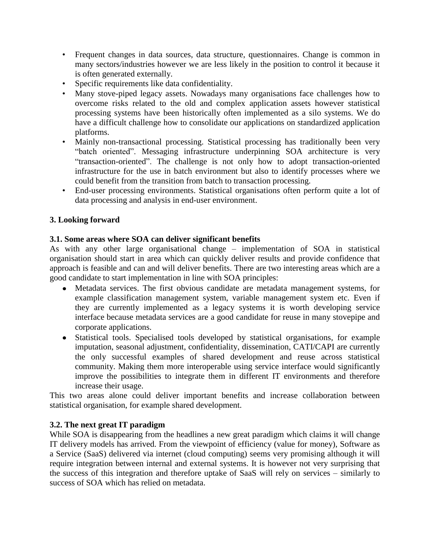- Frequent changes in data sources, data structure, questionnaires. Change is common in many sectors/industries however we are less likely in the position to control it because it is often generated externally.
- Specific requirements like data confidentiality.
- Many stove-piped legacy assets. Nowadays many organisations face challenges how to overcome risks related to the old and complex application assets however statistical processing systems have been historically often implemented as a silo systems. We do have a difficult challenge how to consolidate our applications on standardized application platforms.
- Mainly non-transactional processing. Statistical processing has traditionally been very "batch oriented". Messaging infrastructure underpinning SOA architecture is very "transaction-oriented". The challenge is not only how to adopt transaction-oriented infrastructure for the use in batch environment but also to identify processes where we could benefit from the transition from batch to transaction processing.
- End-user processing environments. Statistical organisations often perform quite a lot of data processing and analysis in end-user environment.

### **3. Looking forward**

#### **3.1. Some areas where SOA can deliver significant benefits**

As with any other large organisational change – implementation of SOA in statistical organisation should start in area which can quickly deliver results and provide confidence that approach is feasible and can and will deliver benefits. There are two interesting areas which are a good candidate to start implementation in line with SOA principles:

- Metadata services. The first obvious candidate are metadata management systems, for example classification management system, variable management system etc. Even if they are currently implemented as a legacy systems it is worth developing service interface because metadata services are a good candidate for reuse in many stovepipe and corporate applications.
- Statistical tools. Specialised tools developed by statistical organisations, for example imputation, seasonal adjustment, confidentiality, dissemination, CATI/CAPI are currently the only successful examples of shared development and reuse across statistical community. Making them more interoperable using service interface would significantly improve the possibilities to integrate them in different IT environments and therefore increase their usage.

This two areas alone could deliver important benefits and increase collaboration between statistical organisation, for example shared development.

### **3.2. The next great IT paradigm**

While SOA is disappearing from the headlines a new great paradigm which claims it will change IT delivery models has arrived. From the viewpoint of efficiency (value for money), Software as a Service (SaaS) delivered via internet (cloud computing) seems very promising although it will require integration between internal and external systems. It is however not very surprising that the success of this integration and therefore uptake of SaaS will rely on services – similarly to success of SOA which has relied on metadata.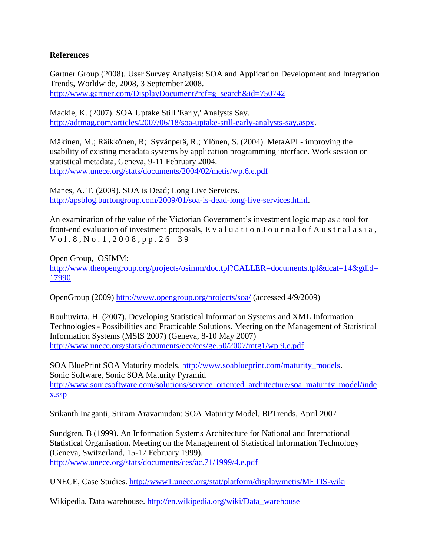#### **References**

Gartner Group (2008). User Survey Analysis: SOA and Application Development and Integration Trends, Worldwide, 2008, 3 September 2008. [http://www.gartner.com/DisplayDocument?ref=g\\_search&id=750742](http://www.gartner.com/DisplayDocument?ref=g_search&id=750742)

Mackie, K. (2007). SOA Uptake Still 'Early,' Analysts Say. [http://adtmag.com/articles/2007/06/18/soa-uptake-still-early-analysts-say.aspx.](http://adtmag.com/articles/2007/06/18/soa-uptake-still-early-analysts-say.aspx)

Mäkinen, M.; Räikkönen, R; Syvänperä, R.; Ylönen, S. (2004). MetaAPI - improving the usability of existing metadata systems by application programming interface. Work session on statistical metadata, Geneva, 9-11 February 2004. <http://www.unece.org/stats/documents/2004/02/metis/wp.6.e.pdf>

Manes, A. T. (2009). SOA is Dead; Long Live Services. [http://apsblog.burtongroup.com/2009/01/soa-is-dead-long-live-services.html.](http://apsblog.burtongroup.com/2009/01/soa-is-dead-long-live-services.html)

An examination of the value of the Victorian Government's investment logic map as a tool for front-end evaluation of investment proposals, E v a l u a t i o n J o u r n a l o f A u s t r a l a s i a ,  $V$  o l . 8, N o . 1, 2008, p p . 26 – 39

Open Group, OSIMM: [http://www.theopengroup.org/projects/osimm/doc.tpl?CALLER=documents.tpl&dcat=14&gdid=](http://www.theopengroup.org/projects/osimm/doc.tpl?CALLER=documents.tpl&dcat=14&gdid=17990) [17990](http://www.theopengroup.org/projects/osimm/doc.tpl?CALLER=documents.tpl&dcat=14&gdid=17990)

OpenGroup (2009)<http://www.opengroup.org/projects/soa/> (accessed 4/9/2009)

Rouhuvirta, H. (2007). Developing Statistical Information Systems and XML Information Technologies - Possibilities and Practicable Solutions. Meeting on the Management of Statistical Information Systems (MSIS 2007) (Geneva, 8-10 May 2007) <http://www.unece.org/stats/documents/ece/ces/ge.50/2007/mtg1/wp.9.e.pdf>

SOA BluePrint SOA Maturity models. [http://www.soablueprint.com/maturity\\_models.](http://www.soablueprint.com/maturity_models) Sonic Software, Sonic SOA Maturity Pyramid [http://www.sonicsoftware.com/solutions/service\\_oriented\\_architecture/soa\\_maturity\\_model/inde](http://www.sonicsoftware.com/solutions/service_oriented_architecture/soa_maturity_model/index.ssp) [x.ssp](http://www.sonicsoftware.com/solutions/service_oriented_architecture/soa_maturity_model/index.ssp)

Srikanth Inaganti, Sriram Aravamudan: SOA Maturity Model, BPTrends, April 2007

Sundgren, B (1999). An Information Systems Architecture for National and International Statistical Organisation. Meeting on the Management of Statistical Information Technology (Geneva, Switzerland, 15-17 February 1999). <http://www.unece.org/stats/documents/ces/ac.71/1999/4.e.pdf>

UNECE, Case Studies.<http://www1.unece.org/stat/platform/display/metis/METIS-wiki>

Wikipedia, Data warehouse. [http://en.wikipedia.org/wiki/Data\\_warehouse](http://en.wikipedia.org/wiki/Data_warehouse)